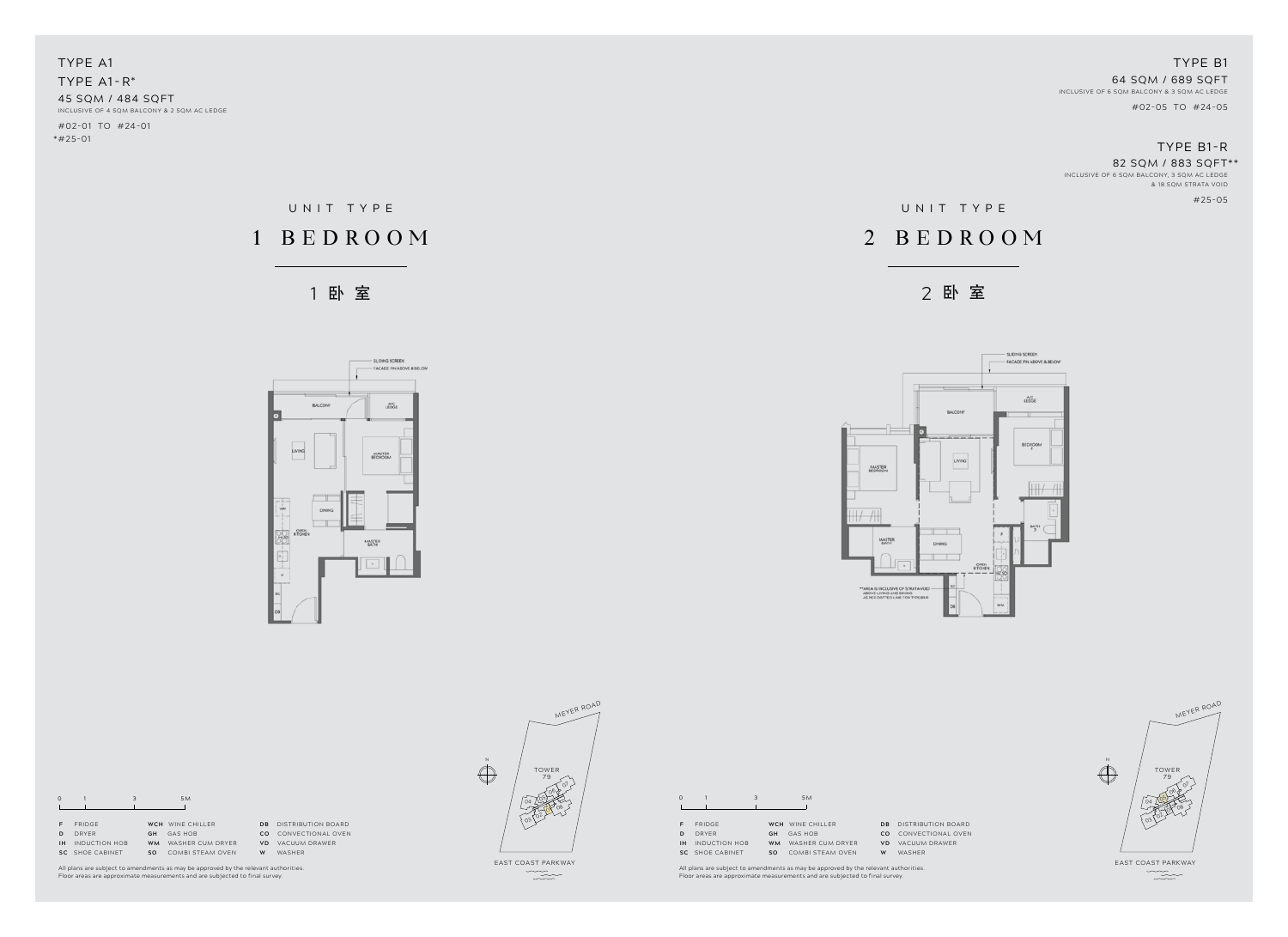1 卧 室 2 卧 室



|                                                                                                    | z |
|----------------------------------------------------------------------------------------------------|---|
| MASTER<br>BEOROOM                                                                                  |   |
| E.<br>MASTER                                                                                       |   |
| ٠                                                                                                  | D |
| ** AREA IS INCLUSIVE OF STRATA VOID<br>ABOVE LIVING AND DINING<br>AS PER DOTTED LINE FOR TYPE BI-R |   |

## UNIT TYPE 1 BEDR OOM

TYPE A1 TYPE A1-R\* 45 SQM / 484 SQFT INCLUSIVE OF 4 SQM BALCONY & 2 SQM AC LEDGE #02-01 to #24-01

\*#25-01

**SC** SHOE CABINET **SO** COMBI STEAM OVEN **W** WASHER **DRAWER** 

### TYPE B1 64 SQM / 689 SQFT INCLUSIVE OF 6 SQM BALCONY & 3 SQM AC LEDGE #02-05 to #24-05

## TYPE B1-r

### 82 SQM / 883 SQFT\*\*

INCLUSIVE OF 6 SQM BALCONY, 3 SQM AC LEDGE & 18 SQM STRATA VOID

#25-05

east coast parkway  $\begin{picture}(120,15) \put(0,0){\vector(1,0){10}} \put(15,0){\vector(1,0){10}} \put(15,0){\vector(1,0){10}} \put(15,0){\vector(1,0){10}} \put(15,0){\vector(1,0){10}} \put(15,0){\vector(1,0){10}} \put(15,0){\vector(1,0){10}} \put(15,0){\vector(1,0){10}} \put(15,0){\vector(1,0){10}} \put(15,0){\vector(1,0){10}} \put(15,0){\vector(1,0){10}} \put(15,0){\vector($ 

All plans are subject to amendments as may be approved by the relevant authorities. Floor areas are approximate measurements and are subjected to final survey.

|    |               | 3         | 5 M              |           |                    |
|----|---------------|-----------|------------------|-----------|--------------------|
|    |               |           |                  |           |                    |
|    | <b>FRIDGE</b> |           | WCH WINF CHILLER | <b>DR</b> | DISTRIBUTION BOARD |
|    | DRYFR         | GH        | <b>GAS HOB</b>   | CO        | CONVECTIONAL OVEN  |
| ıн | INDUCTION HOB | <b>WM</b> | WASHER CUM DRYER | VD.       | VACUUM DRAWER      |

**W** WASHER

| $\Omega$  |                      | 3 |            | 5M               |           |
|-----------|----------------------|---|------------|------------------|-----------|
|           |                      |   |            |                  |           |
|           |                      |   |            |                  |           |
| F         | <b>FRIDGE</b>        |   | <b>WCH</b> | WINE CHILLER     | DB        |
| D         | DRYFR                |   | GH         | <b>GAS HOB</b>   | CO.       |
| <b>IH</b> | <b>INDUCTION HOB</b> |   | <b>WM</b>  | WASHER CUM DRYER | <b>VD</b> |
| SC.       | SHOF CABINET         |   | <b>SO</b>  | COMBI STEAM OVEN | W         |

All plans are subject to amendments as may be approved by the relevant authorities. Floor areas are approximate measurements and are subjected to final survey.

# UNIT TYPE

## 2 BEDROOM





**DISTRIBUTION BOARD CO** CONVECTIONAL OVEN **VACUUM DRAWER** 

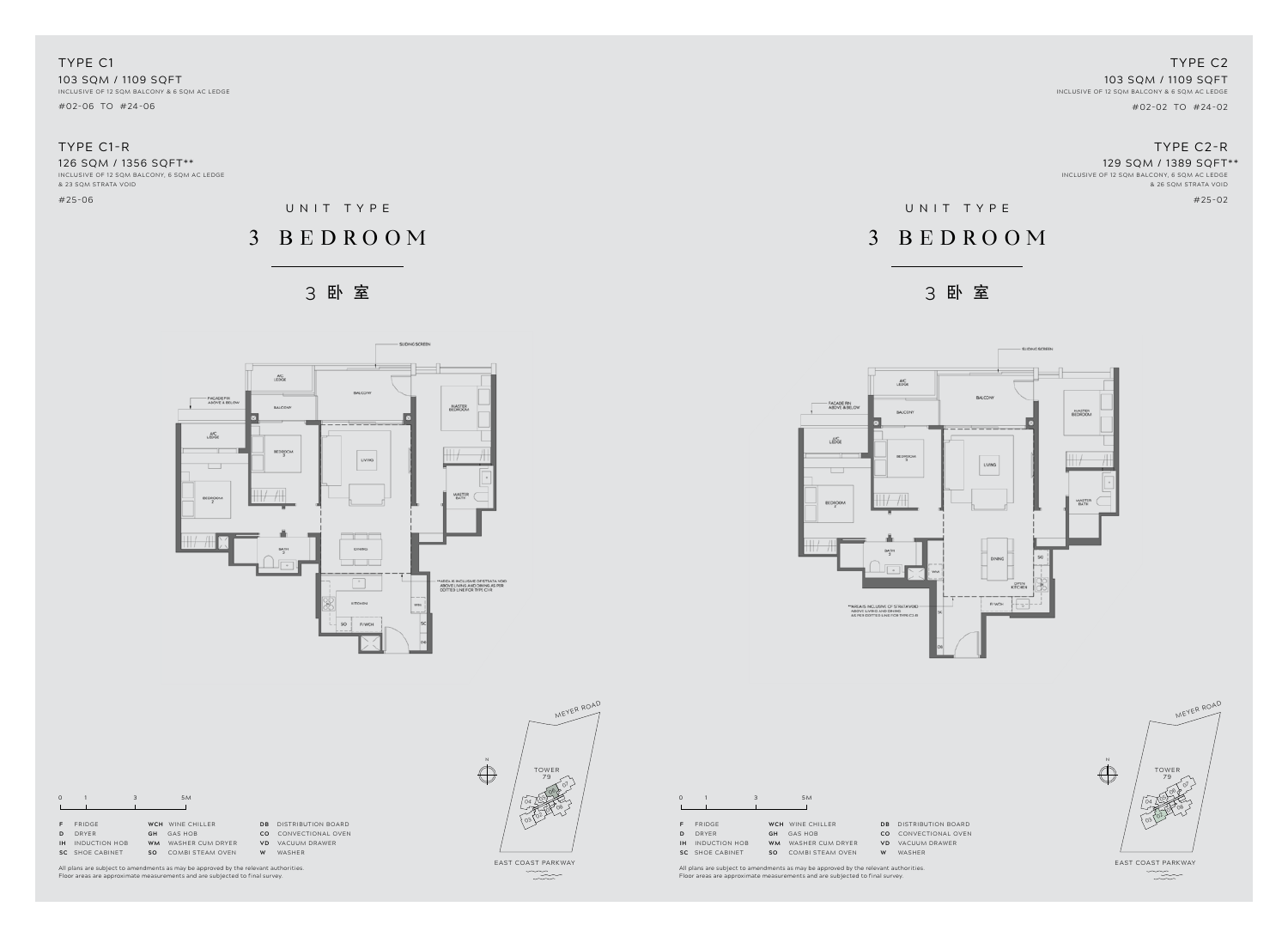





### TYPE c1 103 SQM / 1109 SQFT INCLUSIVE OF 12 SQM BALCONY & 6 SQM AC LEDGE

#02-06 to #24-06

## TYPE C1-r

126 SQM / 1356 SQFT\*\*

INCLUSIVE OF 12 SQM BALCONY, 6 SQM AC LEDGE & 23 SQM STRATA VOID

#25-06

## TYPE C2 103 SQM / 1109 SQFT

 INCLUSIVE OF 12 SQM BALCONY & 6 SQM AC LEDGE #02-02 to #24-02

## TYPE C2-r

### 129 SQM / 1389 SQFT\*\*

INCLUSIVE OF 12 SQM BALCONY, 6 SQM AC LEDGE & 26 SQM STRATA VOID

#25-02

east coast parkway  $\begin{picture}(120,15) \put(0,0){\vector(1,0){10}} \put(15,0){\vector(1,0){10}} \put(15,0){\vector(1,0){10}} \put(15,0){\vector(1,0){10}} \put(15,0){\vector(1,0){10}} \put(15,0){\vector(1,0){10}} \put(15,0){\vector(1,0){10}} \put(15,0){\vector(1,0){10}} \put(15,0){\vector(1,0){10}} \put(15,0){\vector(1,0){10}} \put(15,0){\vector(1,0){10}} \put(15,0){\vector($ 

|     | CO CONVECTIONAL C |
|-----|-------------------|
| R   | VD VACUUM DRAWER  |
| . . |                   |

**W** WASHER

All plans are subject to amendments as may be approved by the relevant authorities. Floor areas are approximate measurements and are subjected to final survey.

|   | <b>FRIDGE</b>           |           | WCH WINF CHILLER |
|---|-------------------------|-----------|------------------|
| D | DRYFR                   | GH.       | GAS HOB          |
|   | <b>IH</b> INDUCTION HOB | <b>WM</b> | WASHER CUM DRYER |
|   | SC SHOF CABINET         | SO.       | COMBI STEAM OVEN |
|   |                         |           |                  |

0 1 3 5M



**DB** DISTRIBUTION BOARD **CO** CONVECTIONAL OVEN **VD** VACUUM DRAWER

**W** WASHER

All plans are subject to amendments as may be approved by the relevant authorities. Floor areas are approximate measurements and are subjected to final survey.

## UNIT TYPE

## 3 BEDR OOM



## 3 BEDR OOM



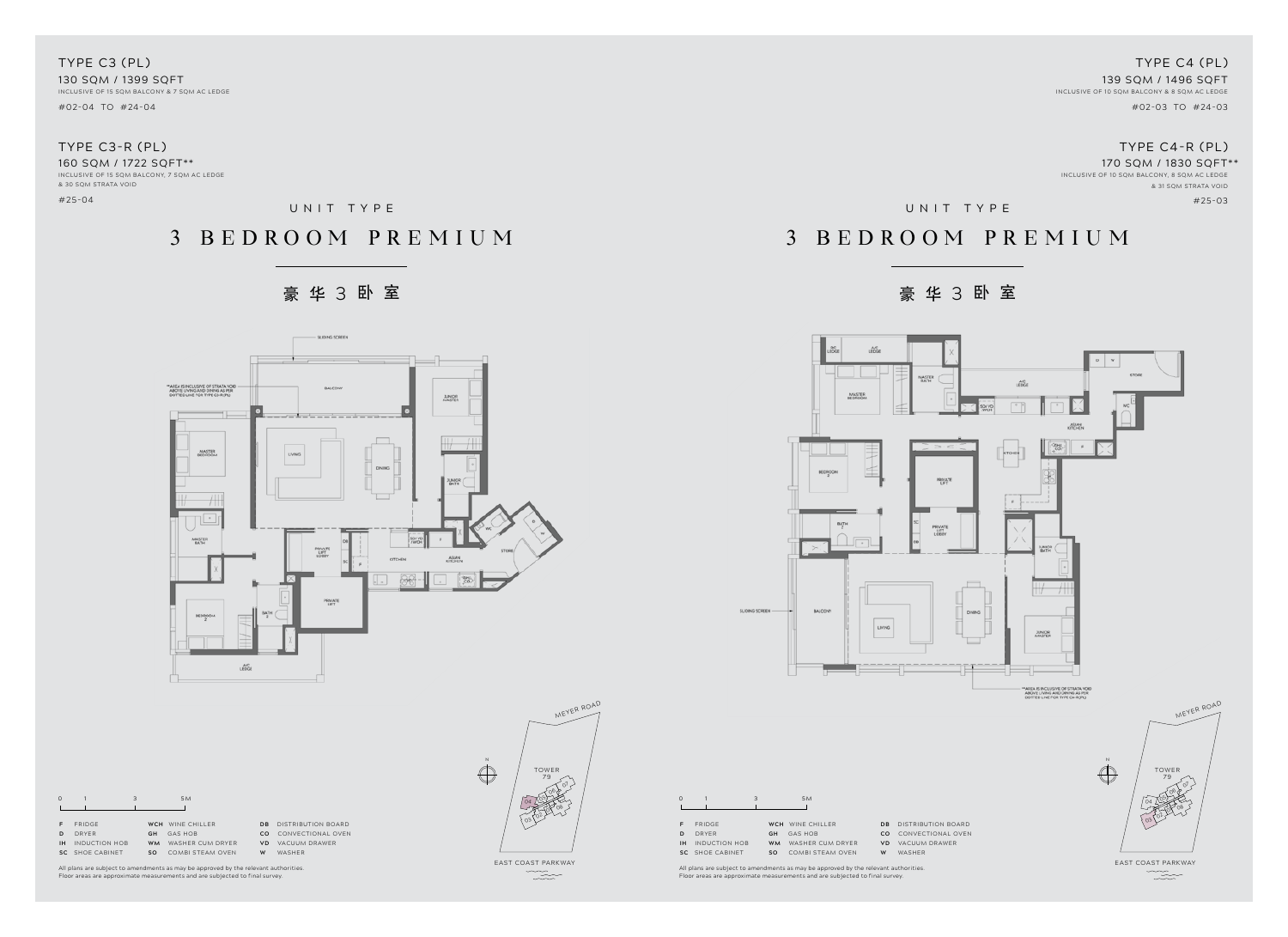



TYPE c3 (PL) 130 SQM / 1399 SQFT INCLUSIVE OF 15 SQM BALCONY & 7 SQM AC LEDGE

#02-04 to #24-04

## TYPE C3-r (PL)

160 SQM / 1722 SQFT\*\* INCLUSIVE OF 15 SQM BALCONY, 7 SQM AC LEDGE & 30 SQM STRATA VOID

#25-04

TYPE c4 (PL) 139 SQM / 1496 SQFT INCLUSIVE OF 10 SQM BALCONY & 8 SQM AC LEDGE #02-03 to #24-03

## TYPE C4-r (PL)

### 170 SQM / 1830 SQFT\*\*

INCLUSIVE OF 10 SQM BALCONY, 8 SQM AC LEDGE & 31 SQM STRATA VOID #25-03

east coast parkway  $\begin{picture}(120,15) \put(0,0){\vector(1,0){10}} \put(15,0){\vector(1,0){10}} \put(15,0){\vector(1,0){10}} \put(15,0){\vector(1,0){10}} \put(15,0){\vector(1,0){10}} \put(15,0){\vector(1,0){10}} \put(15,0){\vector(1,0){10}} \put(15,0){\vector(1,0){10}} \put(15,0){\vector(1,0){10}} \put(15,0){\vector(1,0){10}} \put(15,0){\vector(1,0){10}} \put(15,0){\vector($ 

All plans are subject to amendments as may be approved by the relevant authorities. Floor areas are approximate measurements and are subjected to final survey.

| $\Omega$ |               | 3         | 5M               |                |                    |
|----------|---------------|-----------|------------------|----------------|--------------------|
|          |               |           |                  |                |                    |
| F.       | <b>FRIDGE</b> |           | WCH WINF CHILLER | D <sub>R</sub> | DISTRIBUTION BOARD |
| D        | DRYFR         | GH        | <b>GAS HOB</b>   | CO             | CONVECTIONAL OVEN  |
| ١н       | INDUCTION HOB | <b>WM</b> | WASHER CUM DRYER | vn             | VACUUM DRAWER      |
| SC.      | SHOF CABINET  | so        | COMBI STEAM OVEN | w              | WASHFR             |

All plans are subject to amendments as may be approved by the relevant authorities. Floor areas are approximate measurements and are subjected to final survey.

| $\Omega$ |                        | 3 |           | 5M                      |                |                |
|----------|------------------------|---|-----------|-------------------------|----------------|----------------|
| F        | <b>FRIDGE</b>          |   |           | WCH WINE CHILLER        | D <sub>B</sub> | <b>DISTRIE</b> |
| D        | DRYFR                  |   | GH        | <b>GAS HOB</b>          | CO             | CONVE          |
| ıн       | <b>INDUCTION HOB</b>   |   | <b>WM</b> | WASHER CUM DRYER        | <b>VD</b>      | VACUU          |
|          | <b>SC</b> SHOE CABINET |   | <b>SO</b> | <b>COMBI STEAM OVEN</b> | w              | WASHF          |

LIONG SCREEN

UNIT TYPE

## 3 BEDR OOM PRE M I U M